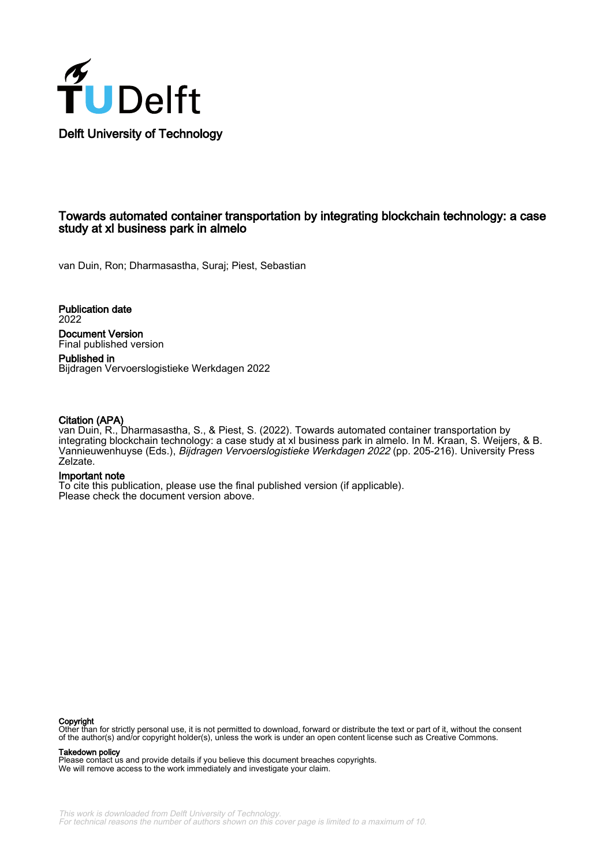

# Towards automated container transportation by integrating blockchain technology: a case study at xl business park in almelo

van Duin, Ron; Dharmasastha, Suraj; Piest, Sebastian

Publication date 2022

Document Version Final published version

Published in Bijdragen Vervoerslogistieke Werkdagen 2022

### Citation (APA)

van Duin, R., Dharmasastha, S., & Piest, S. (2022). Towards automated container transportation by integrating blockchain technology: a case study at xl business park in almelo. In M. Kraan, S. Weijers, & B. Vannieuwenhuyse (Eds.), Bijdragen Vervoerslogistieke Werkdagen 2022 (pp. 205-216). University Press Zelzate.

#### Important note

To cite this publication, please use the final published version (if applicable). Please check the document version above.

#### Copyright

Other than for strictly personal use, it is not permitted to download, forward or distribute the text or part of it, without the consent<br>of the author(s) and/or copyright holder(s), unless the work is under an open content

#### Takedown policy

Please contact us and provide details if you believe this document breaches copyrights. We will remove access to the work immediately and investigate your claim.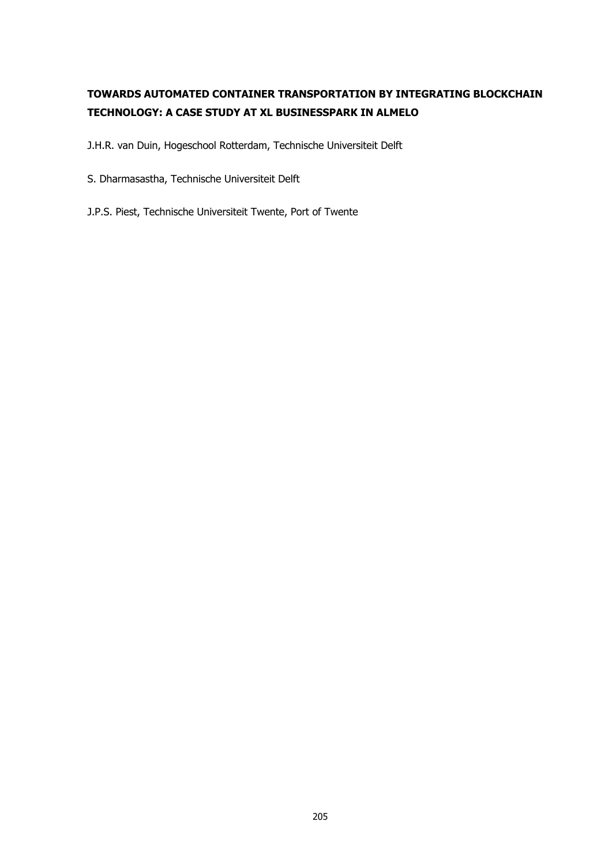# **TOWARDS AUTOMATED CONTAINER TRANSPORTATION BY INTEGRATING BLOCKCHAIN TECHNOLOGY: A CASE STUDY AT XL BUSINESSPARK IN ALMELO**

J.H.R. van Duin, Hogeschool Rotterdam, Technische Universiteit Delft

- S. Dharmasastha, Technische Universiteit Delft
- J.P.S. Piest, Technische Universiteit Twente, Port of Twente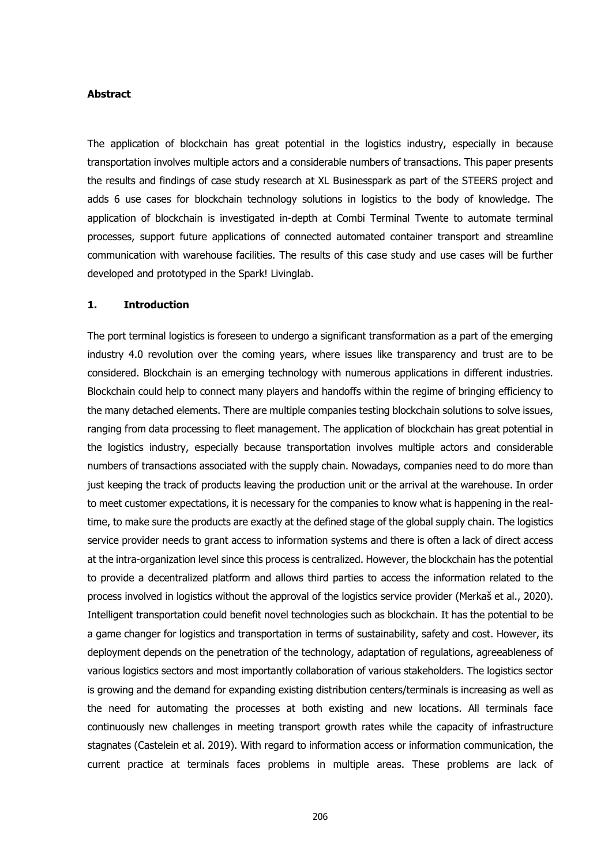#### **Abstract**

The application of blockchain has great potential in the logistics industry, especially in because transportation involves multiple actors and a considerable numbers of transactions. This paper presents the results and findings of case study research at XL Businesspark as part of the STEERS project and adds 6 use cases for blockchain technology solutions in logistics to the body of knowledge. The application of blockchain is investigated in-depth at Combi Terminal Twente to automate terminal processes, support future applications of connected automated container transport and streamline communication with warehouse facilities. The results of this case study and use cases will be further developed and prototyped in the Spark! Livinglab.

# **1. Introduction**

The port terminal logistics is foreseen to undergo a significant transformation as a part of the emerging industry 4.0 revolution over the coming years, where issues like transparency and trust are to be considered. Blockchain is an emerging technology with numerous applications in different industries. Blockchain could help to connect many players and handoffs within the regime of bringing efficiency to the many detached elements. There are multiple companies testing blockchain solutions to solve issues, ranging from data processing to fleet management. The application of blockchain has great potential in the logistics industry, especially because transportation involves multiple actors and considerable numbers of transactions associated with the supply chain. Nowadays, companies need to do more than just keeping the track of products leaving the production unit or the arrival at the warehouse. In order to meet customer expectations, it is necessary for the companies to know what is happening in the realtime, to make sure the products are exactly at the defined stage of the global supply chain. The logistics service provider needs to grant access to information systems and there is often a lack of direct access at the intra-organization level since this process is centralized. However, the blockchain has the potential to provide a decentralized platform and allows third parties to access the information related to the process involved in logistics without the approval of the logistics service provider (Merkaš et al., 2020). Intelligent transportation could benefit novel technologies such as blockchain. It has the potential to be a game changer for logistics and transportation in terms of sustainability, safety and cost. However, its deployment depends on the penetration of the technology, adaptation of regulations, agreeableness of various logistics sectors and most importantly collaboration of various stakeholders. The logistics sector is growing and the demand for expanding existing distribution centers/terminals is increasing as well as the need for automating the processes at both existing and new locations. All terminals face continuously new challenges in meeting transport growth rates while the capacity of infrastructure stagnates (Castelein et al. 2019). With regard to information access or information communication, the current practice at terminals faces problems in multiple areas. These problems are lack of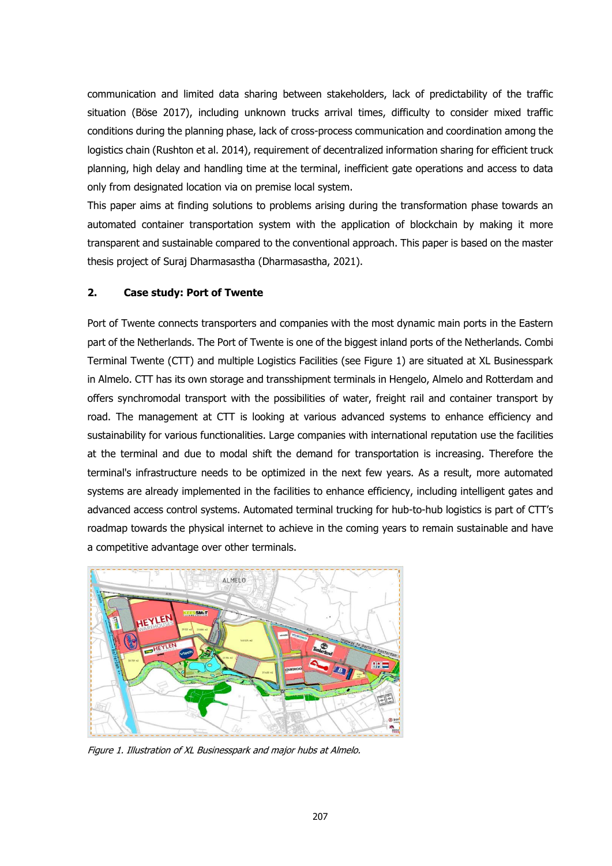communication and limited data sharing between stakeholders, lack of predictability of the traffic situation (Böse 2017), including unknown trucks arrival times, difficulty to consider mixed traffic conditions during the planning phase, lack of cross-process communication and coordination among the logistics chain (Rushton et al. 2014), requirement of decentralized information sharing for efficient truck planning, high delay and handling time at the terminal, inefficient gate operations and access to data only from designated location via on premise local system.

This paper aims at finding solutions to problems arising during the transformation phase towards an automated container transportation system with the application of blockchain by making it more transparent and sustainable compared to the conventional approach. This paper is based on the master thesis project of Suraj Dharmasastha (Dharmasastha, 2021).

# **2. Case study: Port of Twente**

Port of Twente connects transporters and companies with the most dynamic main ports in the Eastern part of the Netherlands. The Port of Twente is one of the biggest inland ports of the Netherlands. Combi Terminal Twente (CTT) and multiple Logistics Facilities (see Figure 1) are situated at XL Businesspark in Almelo. CTT has its own storage and transshipment terminals in Hengelo, Almelo and Rotterdam and offers synchromodal transport with the possibilities of water, freight rail and container transport by road. The management at CTT is looking at various advanced systems to enhance efficiency and sustainability for various functionalities. Large companies with international reputation use the facilities at the terminal and due to modal shift the demand for transportation is increasing. Therefore the terminal's infrastructure needs to be optimized in the next few years. As a result, more automated systems are already implemented in the facilities to enhance efficiency, including intelligent gates and advanced access control systems. Automated terminal trucking for hub-to-hub logistics is part of CTT's roadmap towards the physical internet to achieve in the coming years to remain sustainable and have a competitive advantage over other terminals.



Figure 1. Illustration of XL Businesspark and major hubs at Almelo.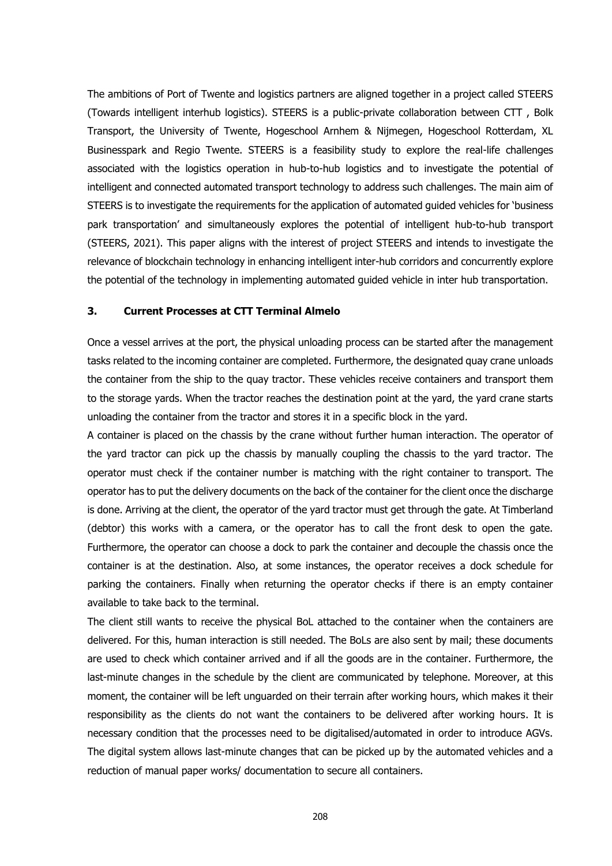The ambitions of Port of Twente and logistics partners are aligned together in a project called STEERS (Towards intelligent interhub logistics). STEERS is a public-private collaboration between CTT , Bolk Transport, the University of Twente, Hogeschool Arnhem & Nijmegen, Hogeschool Rotterdam, XL Businesspark and Regio Twente. STEERS is a feasibility study to explore the real-life challenges associated with the logistics operation in hub-to-hub logistics and to investigate the potential of intelligent and connected automated transport technology to address such challenges. The main aim of STEERS is to investigate the requirements for the application of automated guided vehicles for 'business park transportation' and simultaneously explores the potential of intelligent hub-to-hub transport (STEERS, 2021). This paper aligns with the interest of project STEERS and intends to investigate the relevance of blockchain technology in enhancing intelligent inter-hub corridors and concurrently explore the potential of the technology in implementing automated guided vehicle in inter hub transportation.

# **3. Current Processes at CTT Terminal Almelo**

Once a vessel arrives at the port, the physical unloading process can be started after the management tasks related to the incoming container are completed. Furthermore, the designated quay crane unloads the container from the ship to the quay tractor. These vehicles receive containers and transport them to the storage yards. When the tractor reaches the destination point at the yard, the yard crane starts unloading the container from the tractor and stores it in a specific block in the yard.

A container is placed on the chassis by the crane without further human interaction. The operator of the yard tractor can pick up the chassis by manually coupling the chassis to the yard tractor. The operator must check if the container number is matching with the right container to transport. The operator has to put the delivery documents on the back of the container for the client once the discharge is done. Arriving at the client, the operator of the yard tractor must get through the gate. At Timberland (debtor) this works with a camera, or the operator has to call the front desk to open the gate. Furthermore, the operator can choose a dock to park the container and decouple the chassis once the container is at the destination. Also, at some instances, the operator receives a dock schedule for parking the containers. Finally when returning the operator checks if there is an empty container available to take back to the terminal.

The client still wants to receive the physical BoL attached to the container when the containers are delivered. For this, human interaction is still needed. The BoLs are also sent by mail; these documents are used to check which container arrived and if all the goods are in the container. Furthermore, the last-minute changes in the schedule by the client are communicated by telephone. Moreover, at this moment, the container will be left unguarded on their terrain after working hours, which makes it their responsibility as the clients do not want the containers to be delivered after working hours. It is necessary condition that the processes need to be digitalised/automated in order to introduce AGVs. The digital system allows last-minute changes that can be picked up by the automated vehicles and a reduction of manual paper works/ documentation to secure all containers.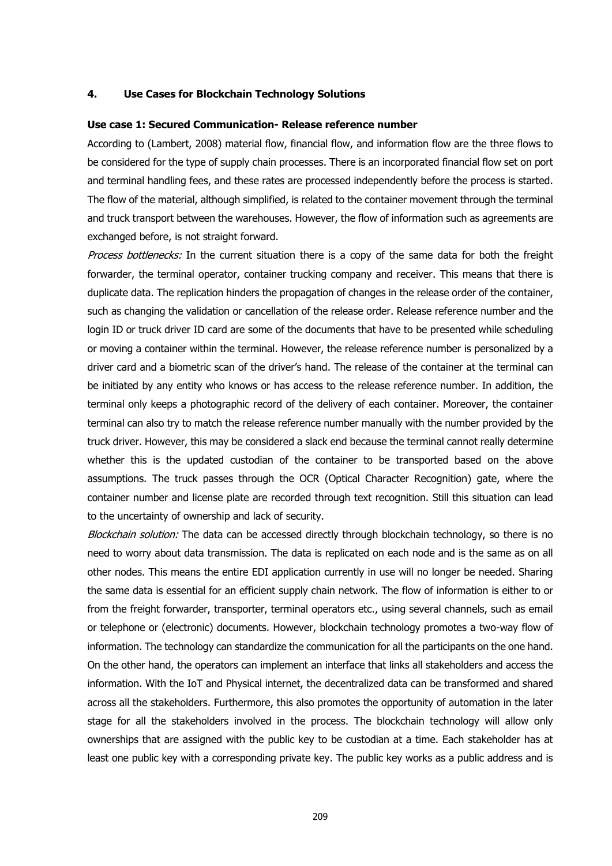## **4. Use Cases for Blockchain Technology Solutions**

# **Use case 1: Secured Communication- Release reference number**

According to (Lambert, 2008) material flow, financial flow, and information flow are the three flows to be considered for the type of supply chain processes. There is an incorporated financial flow set on port and terminal handling fees, and these rates are processed independently before the process is started. The flow of the material, although simplified, is related to the container movement through the terminal and truck transport between the warehouses. However, the flow of information such as agreements are exchanged before, is not straight forward.

Process bottlenecks: In the current situation there is a copy of the same data for both the freight forwarder, the terminal operator, container trucking company and receiver. This means that there is duplicate data. The replication hinders the propagation of changes in the release order of the container, such as changing the validation or cancellation of the release order. Release reference number and the login ID or truck driver ID card are some of the documents that have to be presented while scheduling or moving a container within the terminal. However, the release reference number is personalized by a driver card and a biometric scan of the driver's hand. The release of the container at the terminal can be initiated by any entity who knows or has access to the release reference number. In addition, the terminal only keeps a photographic record of the delivery of each container. Moreover, the container terminal can also try to match the release reference number manually with the number provided by the truck driver. However, this may be considered a slack end because the terminal cannot really determine whether this is the updated custodian of the container to be transported based on the above assumptions. The truck passes through the OCR (Optical Character Recognition) gate, where the container number and license plate are recorded through text recognition. Still this situation can lead to the uncertainty of ownership and lack of security.

Blockchain solution: The data can be accessed directly through blockchain technology, so there is no need to worry about data transmission. The data is replicated on each node and is the same as on all other nodes. This means the entire EDI application currently in use will no longer be needed. Sharing the same data is essential for an efficient supply chain network. The flow of information is either to or from the freight forwarder, transporter, terminal operators etc., using several channels, such as email or telephone or (electronic) documents. However, blockchain technology promotes a two-way flow of information. The technology can standardize the communication for all the participants on the one hand. On the other hand, the operators can implement an interface that links all stakeholders and access the information. With the IoT and Physical internet, the decentralized data can be transformed and shared across all the stakeholders. Furthermore, this also promotes the opportunity of automation in the later stage for all the stakeholders involved in the process. The blockchain technology will allow only ownerships that are assigned with the public key to be custodian at a time. Each stakeholder has at least one public key with a corresponding private key. The public key works as a public address and is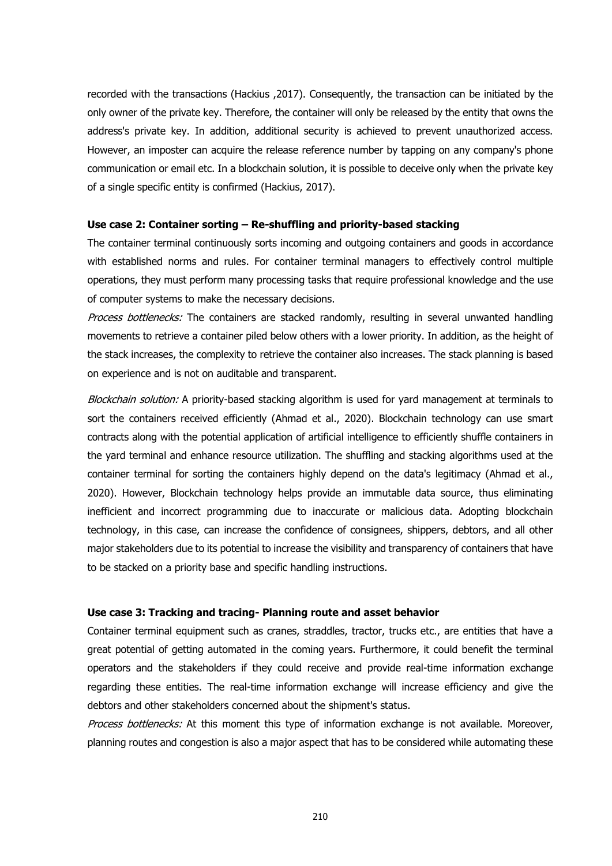recorded with the transactions (Hackius ,2017). Consequently, the transaction can be initiated by the only owner of the private key. Therefore, the container will only be released by the entity that owns the address's private key. In addition, additional security is achieved to prevent unauthorized access. However, an imposter can acquire the release reference number by tapping on any company's phone communication or email etc. In a blockchain solution, it is possible to deceive only when the private key of a single specific entity is confirmed (Hackius, 2017).

## **Use case 2: Container sorting – Re-shuffling and priority-based stacking**

The container terminal continuously sorts incoming and outgoing containers and goods in accordance with established norms and rules. For container terminal managers to effectively control multiple operations, they must perform many processing tasks that require professional knowledge and the use of computer systems to make the necessary decisions.

Process bottlenecks: The containers are stacked randomly, resulting in several unwanted handling movements to retrieve a container piled below others with a lower priority. In addition, as the height of the stack increases, the complexity to retrieve the container also increases. The stack planning is based on experience and is not on auditable and transparent.

Blockchain solution: A priority-based stacking algorithm is used for yard management at terminals to sort the containers received efficiently (Ahmad et al., 2020). Blockchain technology can use smart contracts along with the potential application of artificial intelligence to efficiently shuffle containers in the yard terminal and enhance resource utilization. The shuffling and stacking algorithms used at the container terminal for sorting the containers highly depend on the data's legitimacy (Ahmad et al., 2020). However, Blockchain technology helps provide an immutable data source, thus eliminating inefficient and incorrect programming due to inaccurate or malicious data. Adopting blockchain technology, in this case, can increase the confidence of consignees, shippers, debtors, and all other major stakeholders due to its potential to increase the visibility and transparency of containers that have to be stacked on a priority base and specific handling instructions.

# **Use case 3: Tracking and tracing- Planning route and asset behavior**

Container terminal equipment such as cranes, straddles, tractor, trucks etc., are entities that have a great potential of getting automated in the coming years. Furthermore, it could benefit the terminal operators and the stakeholders if they could receive and provide real-time information exchange regarding these entities. The real-time information exchange will increase efficiency and give the debtors and other stakeholders concerned about the shipment's status.

Process bottlenecks: At this moment this type of information exchange is not available. Moreover, planning routes and congestion is also a major aspect that has to be considered while automating these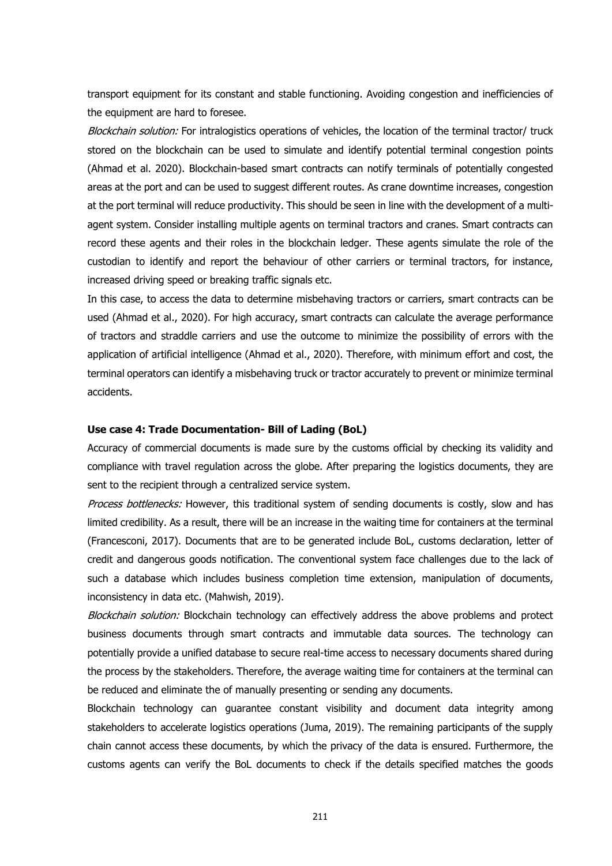transport equipment for its constant and stable functioning. Avoiding congestion and inefficiencies of the equipment are hard to foresee.

Blockchain solution: For intralogistics operations of vehicles, the location of the terminal tractor/ truck stored on the blockchain can be used to simulate and identify potential terminal congestion points (Ahmad et al. 2020). Blockchain-based smart contracts can notify terminals of potentially congested areas at the port and can be used to suggest different routes. As crane downtime increases, congestion at the port terminal will reduce productivity. This should be seen in line with the development of a multiagent system. Consider installing multiple agents on terminal tractors and cranes. Smart contracts can record these agents and their roles in the blockchain ledger. These agents simulate the role of the custodian to identify and report the behaviour of other carriers or terminal tractors, for instance, increased driving speed or breaking traffic signals etc.

In this case, to access the data to determine misbehaving tractors or carriers, smart contracts can be used (Ahmad et al., 2020). For high accuracy, smart contracts can calculate the average performance of tractors and straddle carriers and use the outcome to minimize the possibility of errors with the application of artificial intelligence (Ahmad et al., 2020). Therefore, with minimum effort and cost, the terminal operators can identify a misbehaving truck or tractor accurately to prevent or minimize terminal accidents.

### **Use case 4: Trade Documentation- Bill of Lading (BoL)**

Accuracy of commercial documents is made sure by the customs official by checking its validity and compliance with travel regulation across the globe. After preparing the logistics documents, they are sent to the recipient through a centralized service system.

Process bottlenecks: However, this traditional system of sending documents is costly, slow and has limited credibility. As a result, there will be an increase in the waiting time for containers at the terminal (Francesconi, 2017). Documents that are to be generated include BoL, customs declaration, letter of credit and dangerous goods notification. The conventional system face challenges due to the lack of such a database which includes business completion time extension, manipulation of documents, inconsistency in data etc. (Mahwish, 2019).

Blockchain solution: Blockchain technology can effectively address the above problems and protect business documents through smart contracts and immutable data sources. The technology can potentially provide a unified database to secure real-time access to necessary documents shared during the process by the stakeholders. Therefore, the average waiting time for containers at the terminal can be reduced and eliminate the of manually presenting or sending any documents.

Blockchain technology can guarantee constant visibility and document data integrity among stakeholders to accelerate logistics operations (Juma, 2019). The remaining participants of the supply chain cannot access these documents, by which the privacy of the data is ensured. Furthermore, the customs agents can verify the BoL documents to check if the details specified matches the goods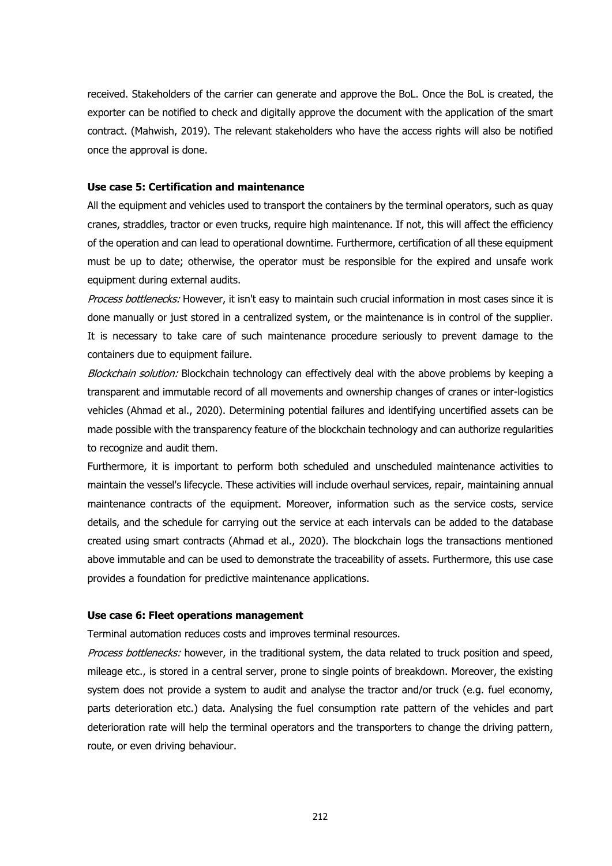received. Stakeholders of the carrier can generate and approve the BoL. Once the BoL is created, the exporter can be notified to check and digitally approve the document with the application of the smart contract. (Mahwish, 2019). The relevant stakeholders who have the access rights will also be notified once the approval is done.

## **Use case 5: Certification and maintenance**

All the equipment and vehicles used to transport the containers by the terminal operators, such as quay cranes, straddles, tractor or even trucks, require high maintenance. If not, this will affect the efficiency of the operation and can lead to operational downtime. Furthermore, certification of all these equipment must be up to date; otherwise, the operator must be responsible for the expired and unsafe work equipment during external audits.

Process bottlenecks: However, it isn't easy to maintain such crucial information in most cases since it is done manually or just stored in a centralized system, or the maintenance is in control of the supplier. It is necessary to take care of such maintenance procedure seriously to prevent damage to the containers due to equipment failure.

Blockchain solution: Blockchain technology can effectively deal with the above problems by keeping a transparent and immutable record of all movements and ownership changes of cranes or inter-logistics vehicles (Ahmad et al., 2020). Determining potential failures and identifying uncertified assets can be made possible with the transparency feature of the blockchain technology and can authorize regularities to recognize and audit them.

Furthermore, it is important to perform both scheduled and unscheduled maintenance activities to maintain the vessel's lifecycle. These activities will include overhaul services, repair, maintaining annual maintenance contracts of the equipment. Moreover, information such as the service costs, service details, and the schedule for carrying out the service at each intervals can be added to the database created using smart contracts (Ahmad et al., 2020). The blockchain logs the transactions mentioned above immutable and can be used to demonstrate the traceability of assets. Furthermore, this use case provides a foundation for predictive maintenance applications.

## **Use case 6: Fleet operations management**

Terminal automation reduces costs and improves terminal resources.

Process bottlenecks: however, in the traditional system, the data related to truck position and speed, mileage etc., is stored in a central server, prone to single points of breakdown. Moreover, the existing system does not provide a system to audit and analyse the tractor and/or truck (e.g. fuel economy, parts deterioration etc.) data. Analysing the fuel consumption rate pattern of the vehicles and part deterioration rate will help the terminal operators and the transporters to change the driving pattern, route, or even driving behaviour.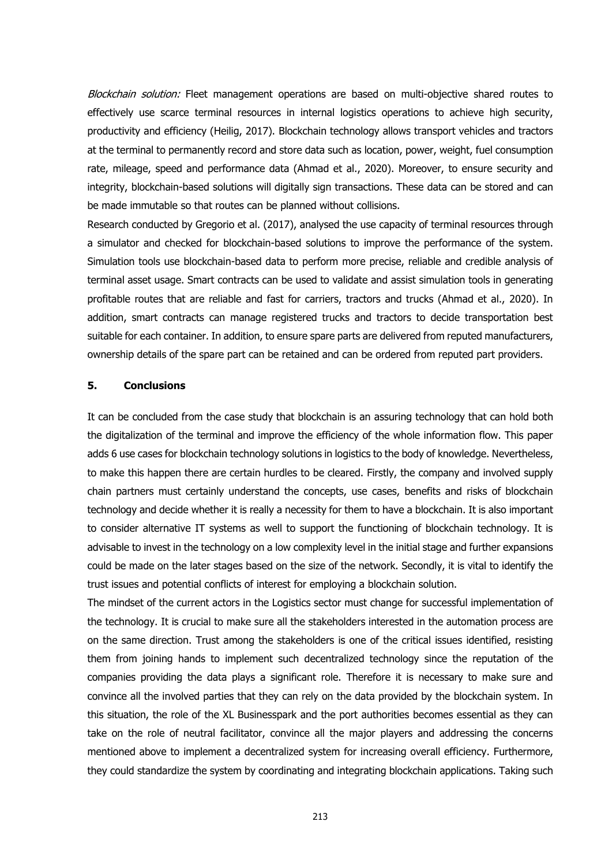Blockchain solution: Fleet management operations are based on multi-objective shared routes to effectively use scarce terminal resources in internal logistics operations to achieve high security, productivity and efficiency (Heilig, 2017). Blockchain technology allows transport vehicles and tractors at the terminal to permanently record and store data such as location, power, weight, fuel consumption rate, mileage, speed and performance data (Ahmad et al., 2020). Moreover, to ensure security and integrity, blockchain-based solutions will digitally sign transactions. These data can be stored and can be made immutable so that routes can be planned without collisions.

Research conducted by Gregorio et al. (2017), analysed the use capacity of terminal resources through a simulator and checked for blockchain-based solutions to improve the performance of the system. Simulation tools use blockchain-based data to perform more precise, reliable and credible analysis of terminal asset usage. Smart contracts can be used to validate and assist simulation tools in generating profitable routes that are reliable and fast for carriers, tractors and trucks (Ahmad et al., 2020). In addition, smart contracts can manage registered trucks and tractors to decide transportation best suitable for each container. In addition, to ensure spare parts are delivered from reputed manufacturers, ownership details of the spare part can be retained and can be ordered from reputed part providers.

# **5. Conclusions**

It can be concluded from the case study that blockchain is an assuring technology that can hold both the digitalization of the terminal and improve the efficiency of the whole information flow. This paper adds 6 use cases for blockchain technology solutions in logistics to the body of knowledge. Nevertheless, to make this happen there are certain hurdles to be cleared. Firstly, the company and involved supply chain partners must certainly understand the concepts, use cases, benefits and risks of blockchain technology and decide whether it is really a necessity for them to have a blockchain. It is also important to consider alternative IT systems as well to support the functioning of blockchain technology. It is advisable to invest in the technology on a low complexity level in the initial stage and further expansions could be made on the later stages based on the size of the network. Secondly, it is vital to identify the trust issues and potential conflicts of interest for employing a blockchain solution.

The mindset of the current actors in the Logistics sector must change for successful implementation of the technology. It is crucial to make sure all the stakeholders interested in the automation process are on the same direction. Trust among the stakeholders is one of the critical issues identified, resisting them from joining hands to implement such decentralized technology since the reputation of the companies providing the data plays a significant role. Therefore it is necessary to make sure and convince all the involved parties that they can rely on the data provided by the blockchain system. In this situation, the role of the XL Businesspark and the port authorities becomes essential as they can take on the role of neutral facilitator, convince all the major players and addressing the concerns mentioned above to implement a decentralized system for increasing overall efficiency. Furthermore, they could standardize the system by coordinating and integrating blockchain applications. Taking such

213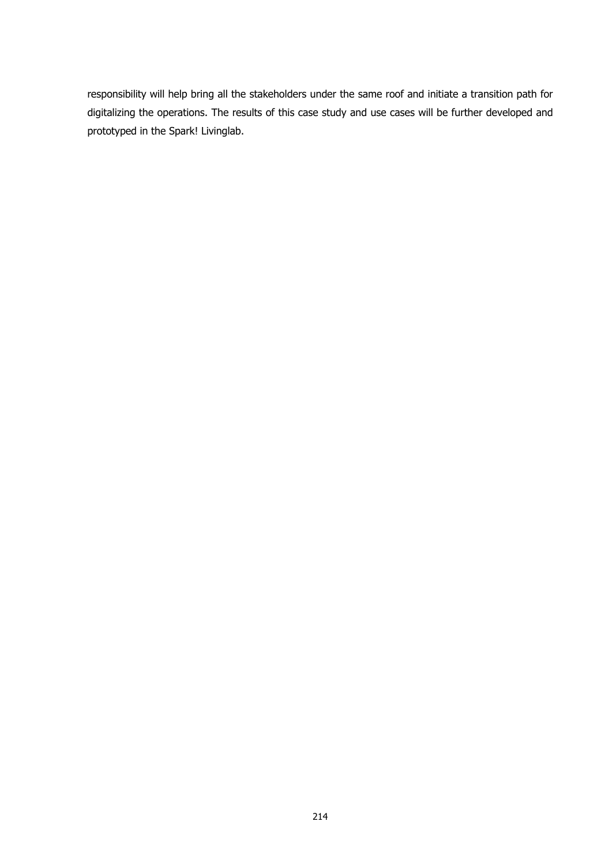responsibility will help bring all the stakeholders under the same roof and initiate a transition path for digitalizing the operations. The results of this case study and use cases will be further developed and prototyped in the Spark! Livinglab.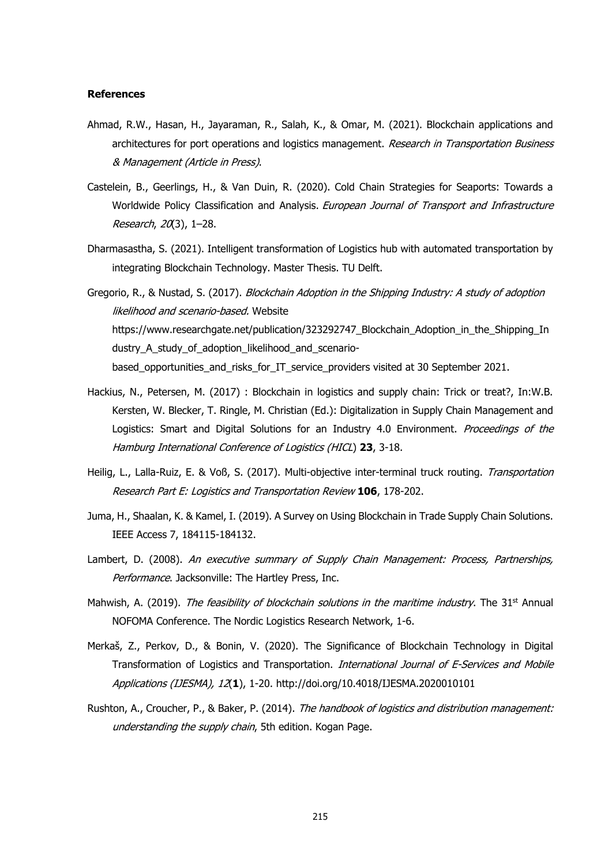#### **References**

- Ahmad, R.W., Hasan, H., Jayaraman, R., Salah, K., & Omar, M. (2021). Blockchain applications and architectures for port operations and logistics management. Research in Transportation Business & Management (Article in Press).
- Castelein, B., Geerlings, H., & Van Duin, R. (2020). Cold Chain Strategies for Seaports: Towards a Worldwide Policy Classification and Analysis. European Journal of Transport and Infrastructure Research, 20(3), 1–28.
- Dharmasastha, S. (2021). Intelligent transformation of Logistics hub with automated transportation by integrating Blockchain Technology. Master Thesis. TU Delft.
- Gregorio, R., & Nustad, S. (2017). Blockchain Adoption in the Shipping Industry: A study of adoption likelihood and scenario-based. Website https://www.researchgate.net/publication/323292747\_Blockchain\_Adoption\_in\_the\_Shipping\_In dustry A study of adoption likelihood and scenariobased\_opportunities\_and\_risks\_for\_IT\_service\_providers visited at 30 September 2021.
- Hackius, N., Petersen, M. (2017) : Blockchain in logistics and supply chain: Trick or treat?, In:W.B. Kersten, W. Blecker, T. Ringle, M. Christian (Ed.): Digitalization in Supply Chain Management and Logistics: Smart and Digital Solutions for an Industry 4.0 Environment. Proceedings of the Hamburg International Conference of Logistics (HICL) **23**, 3-18.
- Heilig, L., Lalla-Ruiz, E. & Voß, S. (2017). Multi-objective inter-terminal truck routing. Transportation Research Part E: Logistics and Transportation Review **106**, 178-202.
- Juma, H., Shaalan, K. & Kamel, I. (2019). A Survey on Using Blockchain in Trade Supply Chain Solutions. IEEE Access 7, 184115-184132.
- Lambert, D. (2008). An executive summary of Supply Chain Management: Process, Partnerships, Performance. Jacksonville: The Hartley Press, Inc.
- Mahwish, A. (2019). The feasibility of blockchain solutions in the maritime industry. The 31<sup>st</sup> Annual NOFOMA Conference. The Nordic Logistics Research Network, 1-6.
- Merkaš, Z., Perkov, D., & Bonin, V. (2020). The Significance of Blockchain Technology in Digital Transformation of Logistics and Transportation. International Journal of E-Services and Mobile Applications (IJESMA), 12(**1**), 1-20. http://doi.org/10.4018/IJESMA.2020010101
- Rushton, A., Croucher, P., & Baker, P. (2014). The handbook of logistics and distribution management: understanding the supply chain. 5th edition. Kogan Page.